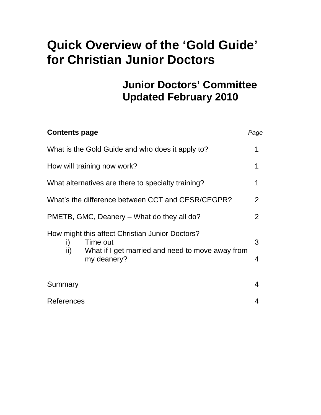# **Quick Overview of the 'Gold Guide' for Christian Junior Doctors**

# **Junior Doctors' Committee Updated February 2010**

| <b>Contents page</b>                                                                                                                        | Page   |
|---------------------------------------------------------------------------------------------------------------------------------------------|--------|
| What is the Gold Guide and who does it apply to?                                                                                            |        |
| How will training now work?                                                                                                                 |        |
| What alternatives are there to specialty training?                                                                                          |        |
| What's the difference between CCT and CESR/CEGPR?                                                                                           | 2      |
| PMETB, GMC, Deanery – What do they all do?                                                                                                  | 2      |
| How might this affect Christian Junior Doctors?<br>Time out<br>i)<br>ii)<br>What if I get married and need to move away from<br>my deanery? | 3<br>4 |
| Summary                                                                                                                                     | 4      |
| References                                                                                                                                  |        |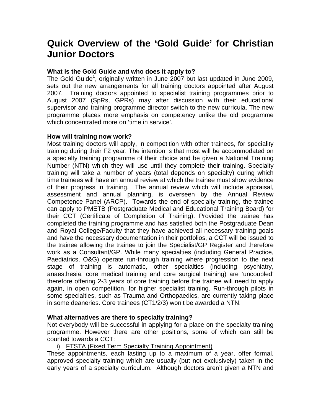# **Quick Overview of the 'Gold Guide' for Christian Junior Doctors**

## **What is the Gold Guide and who does it apply to?**

The Gold Guide<sup>1</sup>, originally written in June 2007 but last updated in June 2009, sets out the new arrangements for all training doctors appointed after August 2007. Training doctors appointed to specialist training programmes prior to August 2007 (SpRs, GPRs) may after discussion with their educational supervisor and training programme director switch to the new curricula. The new programme places more emphasis on competency unlike the old programme which concentrated more on 'time in service'.

### **How will training now work?**

Most training doctors will apply, in competition with other trainees, for speciality training during their F2 year. The intention is that most will be accommodated on a specialty training programme of their choice and be given a National Training Number (NTN) which they will use until they complete their training. Specialty training will take a number of years (total depends on specialty) during which time trainees will have an annual review at which the trainee must show evidence of their progress in training. The annual review which will include appraisal, assessment and annual planning, is overseen by the Annual Review Competence Panel (ARCP). Towards the end of specialty training, the trainee can apply to PMETB (Postgraduate Medical and Educational Training Board) for their CCT (Certificate of Completion of Training). Provided the trainee has completed the training programme and has satisfied both the Postgraduate Dean and Royal College/Faculty that they have achieved all necessary training goals and have the necessary documentation in their portfolios, a CCT will be issued to the trainee allowing the trainee to join the Specialist/GP Register and therefore work as a Consultant/GP. While many specialties (including General Practice, Paediatrics, O&G) operate run-through training where progression to the next stage of training is automatic, other specialties (including psychiatry, anaesthesia, core medical training and core surgical training) are 'uncoupled' therefore offering 2-3 years of core training before the trainee will need to apply again, in open competition, for higher specialist training. Run-through pilots in some specialties, such as Trauma and Orthopaedics, are currently taking place in some deaneries. Core trainees (CT1/2/3) won't be awarded a NTN.

### **What alternatives are there to specialty training?**

Not everybody will be successful in applying for a place on the specialty training programme. However there are other positions, some of which can still be counted towards a CCT:

### i) FTSTA (Fixed Term Specialty Training Appointment)

These appointments, each lasting up to a maximum of a year, offer formal, approved specialty training which are usually (but not exclusively) taken in the early years of a specialty curriculum. Although doctors aren't given a NTN and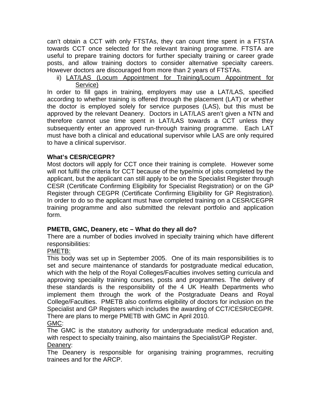can't obtain a CCT with only FTSTAs, they can count time spent in a FTSTA towards CCT once selected for the relevant training programme. FTSTA are useful to prepare training doctors for further specialty training or career grade posts, and allow training doctors to consider alternative specialty careers. However doctors are discouraged from more than 2 years of FTSTAs.

ii) LAT/LAS (Locum Appointment for Training/Locum Appointment for Service)

In order to fill gaps in training, employers may use a LAT/LAS, specified according to whether training is offered through the placement (LAT) or whether the doctor is employed solely for service purposes (LAS), but this must be approved by the relevant Deanery. Doctors in LAT/LAS aren't given a NTN and therefore cannot use time spent in LAT/LAS towards a CCT unless they subsequently enter an approved run-through training programme. Each LAT must have both a clinical and educational supervisor while LAS are only required to have a clinical supervisor.

# **What's CESR/CEGPR?**

Most doctors will apply for CCT once their training is complete. However some will not fulfil the criteria for CCT because of the type/mix of jobs completed by the applicant, but the applicant can still apply to be on the Specialist Register through CESR (Certificate Confirming Eligibility for Specialist Registration) or on the GP Register through CEGPR (Certificate Confirming Eligibility for GP Registration). In order to do so the applicant must have completed training on a CESR/CEGPR training programme and also submitted the relevant portfolio and application form.

# **PMETB, GMC, Deanery, etc – What do they all do?**

There are a number of bodies involved in specialty training which have different responsibilities:

# PMETB:

This body was set up in September 2005. One of its main responsibilities is to set and secure maintenance of standards for postgraduate medical education, which with the help of the Royal Colleges/Faculties involves setting curricula and approving speciality training courses, posts and programmes. The delivery of these standards is the responsibility of the 4 UK Health Departments who implement them through the work of the Postgraduate Deans and Royal College/Faculties. PMETB also confirms eligibility of doctors for inclusion on the Specialist and GP Registers which includes the awarding of CCT/CESR/CEGPR. There are plans to merge PMETB with GMC in April 2010. GMC:

The GMC is the statutory authority for undergraduate medical education and, with respect to specialty training, also maintains the Specialist/GP Register. Deanery:

The Deanery is responsible for organising training programmes, recruiting trainees and for the ARCP.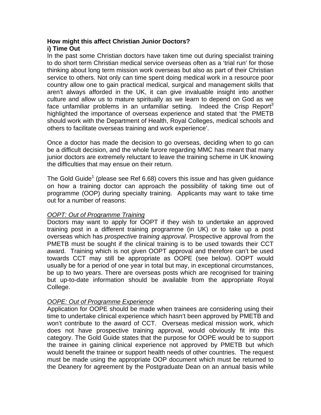### **How might this affect Christian Junior Doctors? i) Time Out**

In the past some Christian doctors have taken time out during specialist training to do short term Christian medical service overseas often as a 'trial run' for those thinking about long term mission work overseas but also as part of their Christian service to others. Not only can time spent doing medical work in a resource poor country allow one to gain practical medical, surgical and management skills that aren't always afforded in the UK, it can give invaluable insight into another culture and allow us to mature spiritually as we learn to depend on God as we face unfamiliar problems in an unfamiliar setting. Indeed the Crisp Report<sup>3</sup> highlighted the importance of overseas experience and stated that 'the PMETB should work with the Department of Health, Royal Colleges, medical schools and others to facilitate overseas training and work experience'.

Once a doctor has made the decision to go overseas, deciding when to go can be a difficult decision, and the whole furore regarding MMC has meant that many junior doctors are extremely reluctant to leave the training scheme in UK knowing the difficulties that may ensue on their return.

The Gold Guide<sup>1</sup> (please see Ref 6.68) covers this issue and has given guidance on how a training doctor can approach the possibility of taking time out of programme (OOP) during specialty training. Applicants may want to take time out for a number of reasons:

# *OOPT: Out of Programme Training*

Doctors may want to apply for OOPT if they wish to undertake an approved training post in a different training programme (in UK) or to take up a post overseas which has *prospective training approval*. Prospective approval from the PMETB must be sought if the clinical training is to be used towards their CCT award. Training which is not given OOPT approval and therefore can't be used towards CCT may still be appropriate as OOPE (see below). OOPT would usually be for a period of one year in total but may, in exceptional circumstances, be up to two years. There are overseas posts which are recognised for training but up-to-date information should be available from the appropriate Royal College.

### *OOPE: Out of Programme Experience*

Application for OOPE should be made when trainees are considering using their time to undertake clinical experience which hasn't been approved by PMETB and won't contribute to the award of CCT. Overseas medical mission work, which does not have prospective training approval, would obviously fit into this category. The Gold Guide states that the purpose for OOPE would be to support the trainee in gaining clinical experience not approved by PMETB but which would benefit the trainee or support health needs of other countries. The request must be made using the appropriate OOP document which must be returned to the Deanery for agreement by the Postgraduate Dean on an annual basis while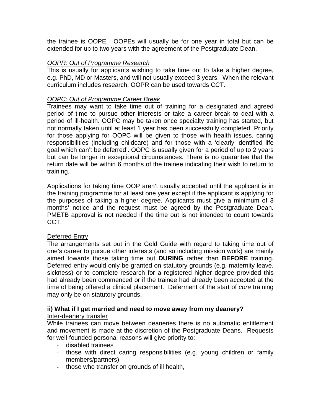the trainee is OOPE. OOPEs will usually be for one year in total but can be extended for up to two years with the agreement of the Postgraduate Dean.

# *OOPR: Out of Programme Research*

This is usually for applicants wishing to take time out to take a higher degree, e.g. PhD, MD or Masters, and will not usually exceed 3 years. When the relevant curriculum includes research, OOPR can be used towards CCT.

## *OOPC: Out of Programme Career Break*

Trainees may want to take time out of training for a designated and agreed period of time to pursue other interests or take a career break to deal with a period of ill-health. OOPC may be taken once specialty training has started, but not normally taken until at least 1 year has been successfully completed. Priority for those applying for OOPC will be given to those with health issues, caring responsibilities (including childcare) and for those with a 'clearly identified life goal which can't be deferred'. OOPC is usually given for a period of up to 2 years but can be longer in exceptional circumstances. There is no guarantee that the return date will be within 6 months of the trainee indicating their wish to return to training.

Applications for taking time OOP aren't usually accepted until the applicant is in the training programme for at least one year except if the applicant is applying for the purposes of taking a higher degree. Applicants must give a minimum of 3 months' notice and the request must be agreed by the Postgraduate Dean. PMETB approval is not needed if the time out is not intended to count towards CCT.

### Deferred Entry

The arrangements set out in the Gold Guide with regard to taking time out of one's career to pursue other interests (and so including mission work) are mainly aimed towards those taking time out **DURING** rather than **BEFORE** training. Deferred entry would only be granted on statutory grounds (e.g. maternity leave, sickness) or to complete research for a registered higher degree provided this had already been commenced or if the trainee had already been accepted at the time of being offered a clinical placement. Deferment of the start of *core* training may only be on statutory grounds.

#### **ii) What if I get married and need to move away from my deanery?**  Inter-deanery transfer

While trainees can move between deaneries there is no automatic entitlement and movement is made at the discretion of the Postgraduate Deans. Requests for well-founded personal reasons will give priority to:

- disabled trainees
- those with direct caring responsibilities (e.g. young children or family members/partners)
- those who transfer on grounds of ill health,